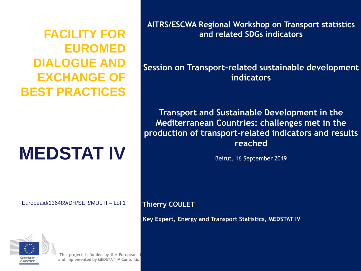**FACILITY FOR EUROMED DIALOGUE AND EXCHANGE OF BEST PRACTICES**

# **MEDSTAT IV**

Europeaid/136489/DH/SER/MULTI – Lot 1



**This project is funded by the European Union and implemented by MEDSTAT IV Consortium** **AITRS/ESCWA Regional Workshop on Transport statistics and related SDGs indicators**

**Session on Transport-related sustainable development indicators**

**Transport and Sustainable Development in the Mediterranean Countries: challenges met in the production of transport-related indicators and results reached**

Beirut, 16 September 2019

**Thierry COULET** 

**Key Expert, Energy and Transport Statistics, MEDSTAT IV**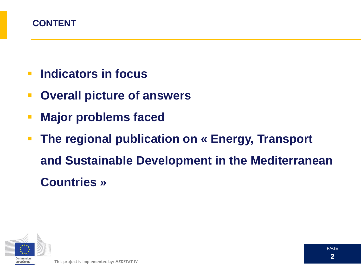

- **Indicators in focus**
- **Overall picture of answers**
- **Major problems faced**
- **The regional publication on « Energy, Transport and Sustainable Development in the Mediterranean Countries »**

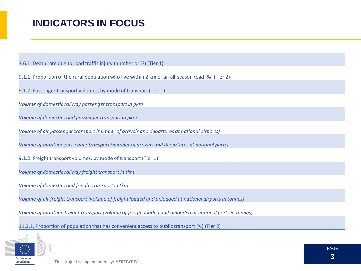### **INDICATORS IN FOCUS**

3.6.1. Death rate due to road traffic injury (number or %) (Tier 1)

9.1.1. Proportion of the rural population who live within 2 km of an all-season road (%) (Tier 2)

9.1.2. Passenger transport volumes, by mode of transport (Tier 1)

*Volume of domestic railway passenger transport in pkm*

*Volume of domestic road passenger transport in pkm*

*Volume of air passenger transport (number of arrivals and departures at national airports)*

*Volume of maritime passenger transport (number of arrivals and departures at national ports)*

9.1.2. Freight transport volumes, by mode of transport (Tier 1)

*Volume of domestic railway freight transport in tkm*

*Volume of domestic road freight transport in tkm*

*Volume of air freight transport (volume of freight loaded and unloaded at national airports in tonnes)*

*Volume of maritime freight transport (volume of freight loaded and unloaded at national ports in tonnes)*

11.2.1. Proportion of population that has convenient access to public transport (%) (Tier 2)

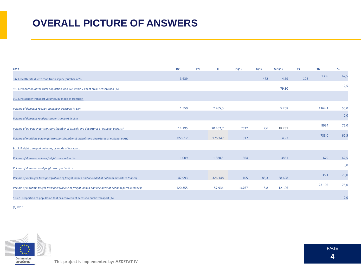### **OVERALL PICTURE OF ANSWERS**

| 2017                                                                                                     | <b>DZ</b> | EG | Ш          | JO(1) | LB(1) | MO(1)    | PS  | TN      | $\%$ |
|----------------------------------------------------------------------------------------------------------|-----------|----|------------|-------|-------|----------|-----|---------|------|
| 3.6.1. Death rate due to road traffic injury (number or %)                                               | 3 6 3 9   |    |            |       | 472   | 4,69     | 108 | 1369    | 62,5 |
| 9.1.1. Proportion of the rural population who live within 2 km of an all-season road (%)                 |           |    |            |       |       | 79,30    |     |         | 12,5 |
|                                                                                                          |           |    |            |       |       |          |     |         |      |
| 9.1.2. Passenger transport volumes, by mode of transport                                                 |           |    |            |       |       |          |     |         |      |
| Volume of domestic railway passenger transport in pkm                                                    | 1550      |    | 2765,0     |       |       | 5 2 0 8  |     | 1164,1  | 50,0 |
| Volume of domestic road passenger transport in pkm                                                       |           |    |            |       |       |          |     |         | 0,0  |
|                                                                                                          | 14 2 9 5  |    | 20 462,7   | 7622  | 7,6   | 18 2 3 7 |     | 8934    | 75,0 |
| Volume of air passenger transport (number of arrivals and departures at national airports)               |           |    |            |       |       |          |     |         |      |
| Volume of maritime passenger transport (number of arrivals and departures at national ports)             | 722 612   |    | 176 347    | 317   |       | 4,97     |     | 738,0   | 62,5 |
| 9.1.2. Freight transport volumes, by mode of transport                                                   |           |    |            |       |       |          |     |         |      |
| Volume of domestic railway freight transport in tkm                                                      | 1 0 0 9   |    | 1 3 8 0, 5 | 364   |       | 3831     |     | 679     | 62,5 |
|                                                                                                          |           |    |            |       |       |          |     |         | 0,0  |
| Volume of domestic road freight transport in tkm                                                         |           |    |            |       |       |          |     |         |      |
| Volume of air freight transport (volume of freight loaded and unloaded at national airports in tonnes)   | 47 993    |    | 326 148    | 105   | 85,3  | 68 698   |     | 35,1    | 75,0 |
| Volume of maritime freight transport (volume of freight loaded and unloaded at national ports in tonnes) | 120 355   |    | 57936      | 16767 | 8,8   | 121,06   |     | 23 10 5 | 75,0 |
|                                                                                                          |           |    |            |       |       |          |     |         |      |
| 11.2.1. Proportion of population that has convenient access to public transport (%)                      |           |    |            |       |       |          |     |         | 0,0  |
| $(1)$ 2016                                                                                               |           |    |            |       |       |          |     |         |      |

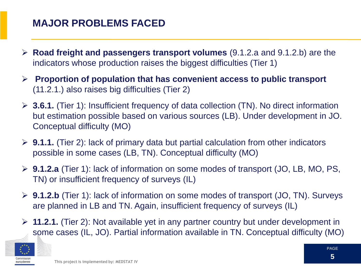### **MAJOR PROBLEMS FACED**

- **Road freight and passengers transport volumes** (9.1.2.a and 9.1.2.b) are the indicators whose production raises the biggest difficulties (Tier 1)
- **Proportion of population that has convenient access to public transport**  (11.2.1.) also raises big difficulties (Tier 2)
- **3.6.1.** (Tier 1): Insufficient frequency of data collection (TN). No direct information but estimation possible based on various sources (LB). Under development in JO. Conceptual difficulty (MO)
- **9.1.1.** (Tier 2): lack of primary data but partial calculation from other indicators possible in some cases (LB, TN). Conceptual difficulty (MO)
- **9.1.2.a** (Tier 1): lack of information on some modes of transport (JO, LB, MO, PS, TN) or insufficient frequency of surveys (IL)
- **9.1.2.b** (Tier 1): lack of information on some modes of transport (JO, TN). Surveys are planned in LB and TN. Again, insufficient frequency of surveys (IL)
- **11.2.1.** (Tier 2): Not available yet in any partner country but under development in some cases (IL, JO). Partial information available in TN. Conceptual difficulty (MO)

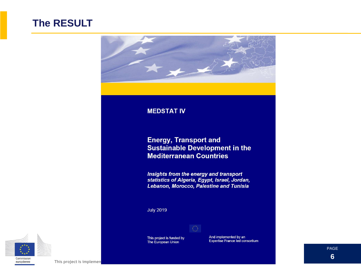#### **The RESULT**



#### **MEDSTAT IV**

#### **Energy, Transport and Sustainable Development in the Mediterranean Countries**

**Insights from the energy and transport<br>statistics of Algeria, Egypt, Israel, Jordan,** Lebanon, Morocco, Palestine and Tunisia

**July 2019** 



This project is funded by The European Union

And implemented by an<br>Expertise France led consortium



PAGE **6**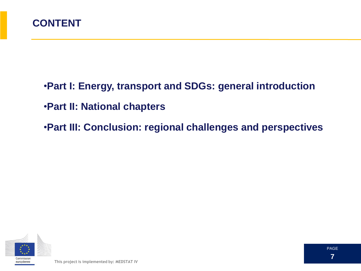

- •**Part I: Energy, transport and SDGs: general introduction** •**Part II: National chapters**
- 
- •**Part III: Conclusion: regional challenges and perspectives**

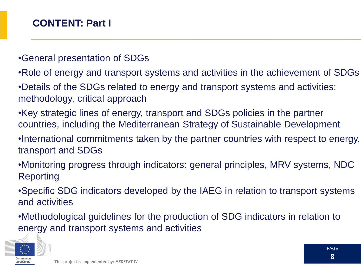#### •General presentation of SDGs

- •Role of energy and transport systems and activities in the achievement of SDGs
- •Details of the SDGs related to energy and transport systems and activities: methodology, critical approach
- •Key strategic lines of energy, transport and SDGs policies in the partner countries, including the Mediterranean Strategy of Sustainable Development
- •International commitments taken by the partner countries with respect to energy, transport and SDGs
- •Monitoring progress through indicators: general principles, MRV systems, NDC Reporting
- •Specific SDG indicators developed by the IAEG in relation to transport systems and activities
- •Methodological guidelines for the production of SDG indicators in relation to energy and transport systems and activities

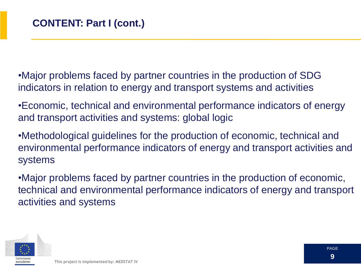•Major problems faced by partner countries in the production of SDG indicators in relation to energy and transport systems and activities

•Economic, technical and environmental performance indicators of energy and transport activities and systems: global logic

•Methodological guidelines for the production of economic, technical and environmental performance indicators of energy and transport activities and systems

•Major problems faced by partner countries in the production of economic, technical and environmental performance indicators of energy and transport activities and systems

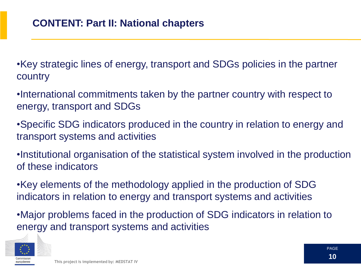•Key strategic lines of energy, transport and SDGs policies in the partner country

•International commitments taken by the partner country with respect to energy, transport and SDGs

•Specific SDG indicators produced in the country in relation to energy and transport systems and activities

•Institutional organisation of the statistical system involved in the production of these indicators

•Key elements of the methodology applied in the production of SDG indicators in relation to energy and transport systems and activities

•Major problems faced in the production of SDG indicators in relation to energy and transport systems and activities

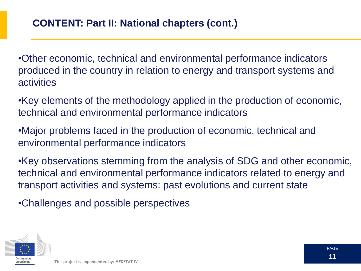•Other economic, technical and environmental performance indicators produced in the country in relation to energy and transport systems and activities

•Key elements of the methodology applied in the production of economic, technical and environmental performance indicators

•Major problems faced in the production of economic, technical and environmental performance indicators

•Key observations stemming from the analysis of SDG and other economic, technical and environmental performance indicators related to energy and transport activities and systems: past evolutions and current state

•Challenges and possible perspectives

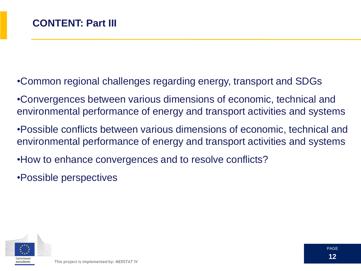- •Common regional challenges regarding energy, transport and SDGs
- •Convergences between various dimensions of economic, technical and environmental performance of energy and transport activities and systems
- •Possible conflicts between various dimensions of economic, technical and environmental performance of energy and transport activities and systems
- •How to enhance convergences and to resolve conflicts?
- •Possible perspectives